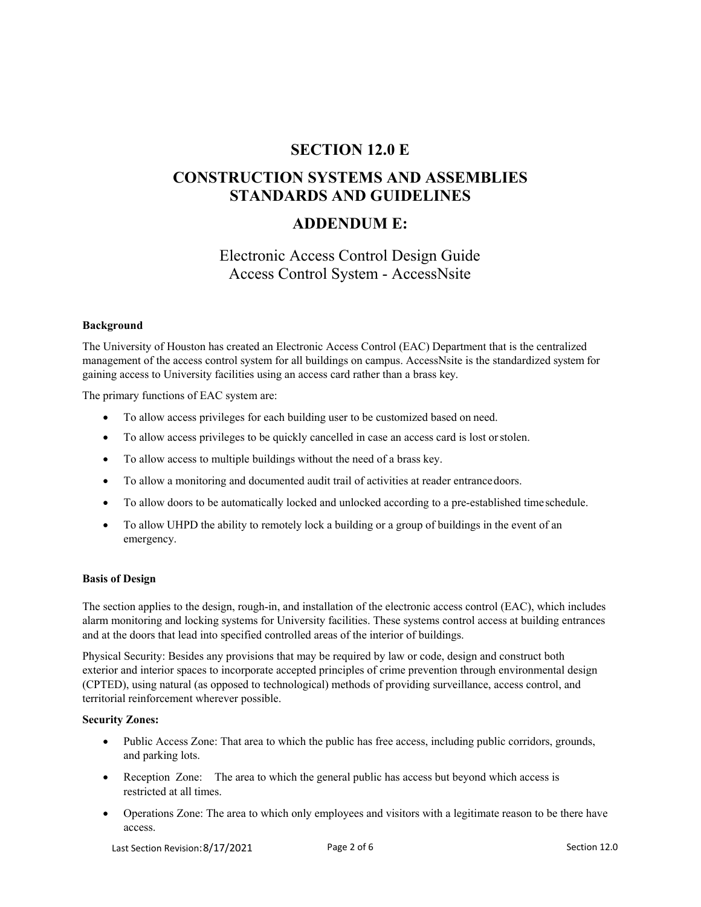# **SECTION 12.0 E**

# **CONSTRUCTION SYSTEMS AND ASSEMBLIES STANDARDS AND GUIDELINES**

# **ADDENDUM E:**

# Electronic Access Control Design Guide Access Control System - AccessNsite

#### **Background**

The University of Houston has created an Electronic Access Control (EAC) Department that is the centralized management of the access control system for all buildings on campus. AccessNsite is the standardized system for gaining access to University facilities using an access card rather than a brass key.

The primary functions of EAC system are:

- To allow access privileges for each building user to be customized based on need.
- To allow access privileges to be quickly cancelled in case an access card is lost or stolen.
- To allow access to multiple buildings without the need of a brass key.
- To allow a monitoring and documented audit trail of activities at reader entrance doors.
- To allow doors to be automatically locked and unlocked according to a pre-established time schedule.
- To allow UHPD the ability to remotely lock a building or a group of buildings in the event of an emergency.

#### **Basis of Design**

The section applies to the design, rough-in, and installation of the electronic access control (EAC), which includes alarm monitoring and locking systems for University facilities. These systems control access at building entrances and at the doors that lead into specified controlled areas of the interior of buildings.

Physical Security: Besides any provisions that may be required by law or code, design and construct both exterior and interior spaces to incorporate accepted principles of crime prevention through environmental design (CPTED), using natural (as opposed to technological) methods of providing surveillance, access control, and territorial reinforcement wherever possible.

#### **Security Zones:**

- Public Access Zone: That area to which the public has free access, including public corridors, grounds, and parking lots.
- Reception Zone: The area to which the general public has access but beyond which access is restricted at all times.
- Operations Zone: The area to which only employees and visitors with a legitimate reason to be there have access.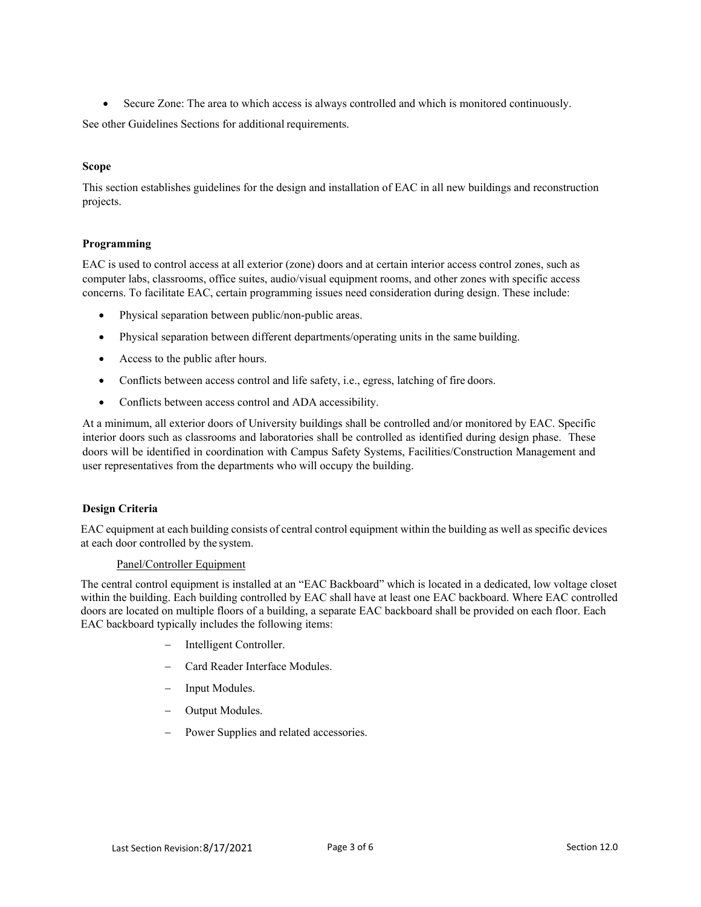Secure Zone: The area to which access is always controlled and which is monitored continuously.

See other Guidelines Sections for additional requirements.

### **Scope**

This section establishes guidelines for the design and installation of EAC in all new buildings and reconstruction projects.

### **Programming**

EAC is used to control access at all exterior (zone) doors and at certain interior access control zones, such as computer labs, classrooms, office suites, audio/visual equipment rooms, and other zones with specific access concerns. To facilitate EAC, certain programming issues need consideration during design. These include:

- Physical separation between public/non-public areas.
- Physical separation between different departments/operating units in the same building.
- Access to the public after hours.
- Conflicts between access control and life safety, i.e., egress, latching of fire doors.
- Conflicts between access control and ADA accessibility.

At a minimum, all exterior doors of University buildings shall be controlled and/or monitored by EAC. Specific interior doors such as classrooms and laboratories shall be controlled as identified during design phase. These doors will be identified in coordination with Campus Safety Systems, Facilities/Construction Management and user representatives from the departments who will occupy the building.

### **Design Criteria**

EAC equipment at each building consists of central control equipment within the building as well as specific devices at each door controlled by the system.

### Panel/Controller Equipment

The central control equipment is installed at an "EAC Backboard" which is located in a dedicated, low voltage closet within the building. Each building controlled by EAC shall have at least one EAC backboard. Where EAC controlled doors are located on multiple floors of a building, a separate EAC backboard shall be provided on each floor. Each EAC backboard typically includes the following items:

- Intelligent Controller.
- Card Reader Interface Modules.
- Input Modules.
- Output Modules.
- Power Supplies and related accessories.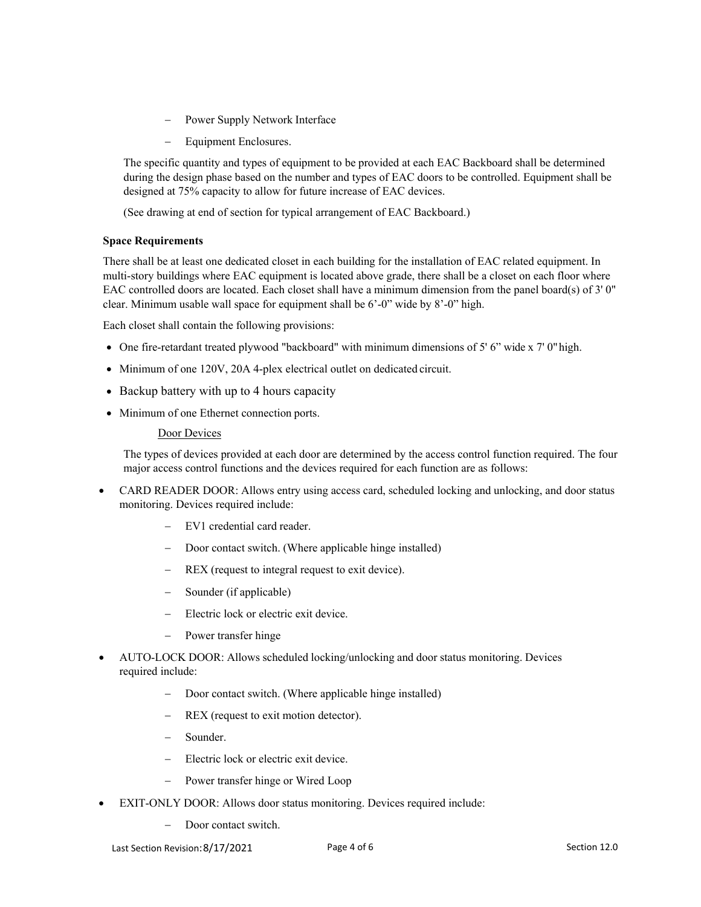- Power Supply Network Interface
- Equipment Enclosures.

The specific quantity and types of equipment to be provided at each EAC Backboard shall be determined during the design phase based on the number and types of EAC doors to be controlled. Equipment shall be designed at 75% capacity to allow for future increase of EAC devices.

(See drawing at end of section for typical arrangement of EAC Backboard.)

### **Space Requirements**

There shall be at least one dedicated closet in each building for the installation of EAC related equipment. In multi-story buildings where EAC equipment is located above grade, there shall be a closet on each floor where EAC controlled doors are located. Each closet shall have a minimum dimension from the panel board(s) of 3' 0" clear. Minimum usable wall space for equipment shall be 6'-0" wide by 8'-0" high.

Each closet shall contain the following provisions:

- One fire-retardant treated plywood "backboard" with minimum dimensions of 5' 6" wide x 7' 0" high.
- Minimum of one 120V, 20A 4-plex electrical outlet on dedicated circuit.
- Backup battery with up to 4 hours capacity
- Minimum of one Ethernet connection ports.

### Door Devices

The types of devices provided at each door are determined by the access control function required. The four major access control functions and the devices required for each function are as follows:

- CARD READER DOOR: Allows entry using access card, scheduled locking and unlocking, and door status monitoring. Devices required include:
	- EV1 credential card reader.
	- Door contact switch. (Where applicable hinge installed)
	- REX (request to integral request to exit device).
	- Sounder (if applicable)
	- Electric lock or electric exit device.
	- Power transfer hinge
- AUTO-LOCK DOOR: Allows scheduled locking/unlocking and door status monitoring. Devices required include:
	- Door contact switch. (Where applicable hinge installed)
	- REX (request to exit motion detector).
	- Sounder.
	- Electric lock or electric exit device.
	- Power transfer hinge or Wired Loop
- EXIT-ONLY DOOR: Allows door status monitoring. Devices required include:
	- Door contact switch.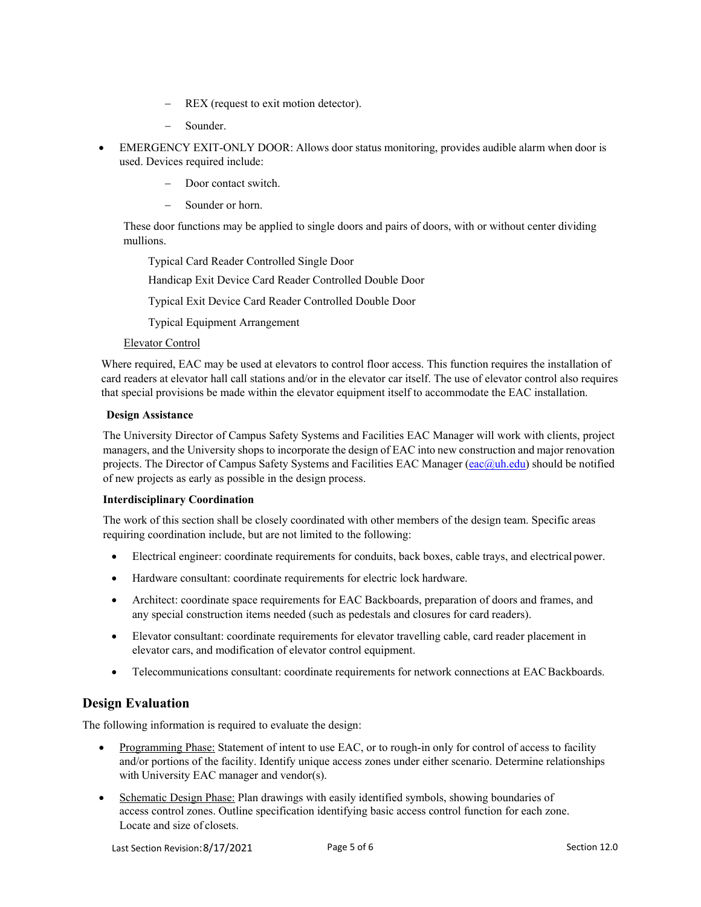- REX (request to exit motion detector).
- Sounder.
- EMERGENCY EXIT-ONLY DOOR: Allows door status monitoring, provides audible alarm when door is used. Devices required include:
	- Door contact switch.
	- Sounder or horn.

These door functions may be applied to single doors and pairs of doors, with or without center dividing mullions.

Typical Card Reader Controlled Single Door

Handicap Exit Device Card Reader Controlled Double Door

Typical Exit Device Card Reader Controlled Double Door

Typical Equipment Arrangement

#### Elevator Control

Where required, EAC may be used at elevators to control floor access. This function requires the installation of card readers at elevator hall call stations and/or in the elevator car itself. The use of elevator control also requires that special provisions be made within the elevator equipment itself to accommodate the EAC installation.

#### **Design Assistance**

The University Director of Campus Safety Systems and Facilities EAC Manager will work with clients, project managers, and the University shops to incorporate the design of EAC into new construction and major renovation projects. The Director of Campus Safety Systems and Facilities EAC Manager (eac@uh.edu) should be notified of new projects as early as possible in the design process.

### **Interdisciplinary Coordination**

The work of this section shall be closely coordinated with other members of the design team. Specific areas requiring coordination include, but are not limited to the following:

- Electrical engineer: coordinate requirements for conduits, back boxes, cable trays, and electrical power.
- Hardware consultant: coordinate requirements for electric lock hardware.
- Architect: coordinate space requirements for EAC Backboards, preparation of doors and frames, and any special construction items needed (such as pedestals and closures for card readers).
- Elevator consultant: coordinate requirements for elevator travelling cable, card reader placement in elevator cars, and modification of elevator control equipment.
- Telecommunications consultant: coordinate requirements for network connections at EAC Backboards.

## **Design Evaluation**

The following information is required to evaluate the design:

- Programming Phase: Statement of intent to use EAC, or to rough-in only for control of access to facility and/or portions of the facility. Identify unique access zones under either scenario. Determine relationships with University EAC manager and vendor(s).
- Schematic Design Phase: Plan drawings with easily identified symbols, showing boundaries of access control zones. Outline specification identifying basic access control function for each zone. Locate and size of closets.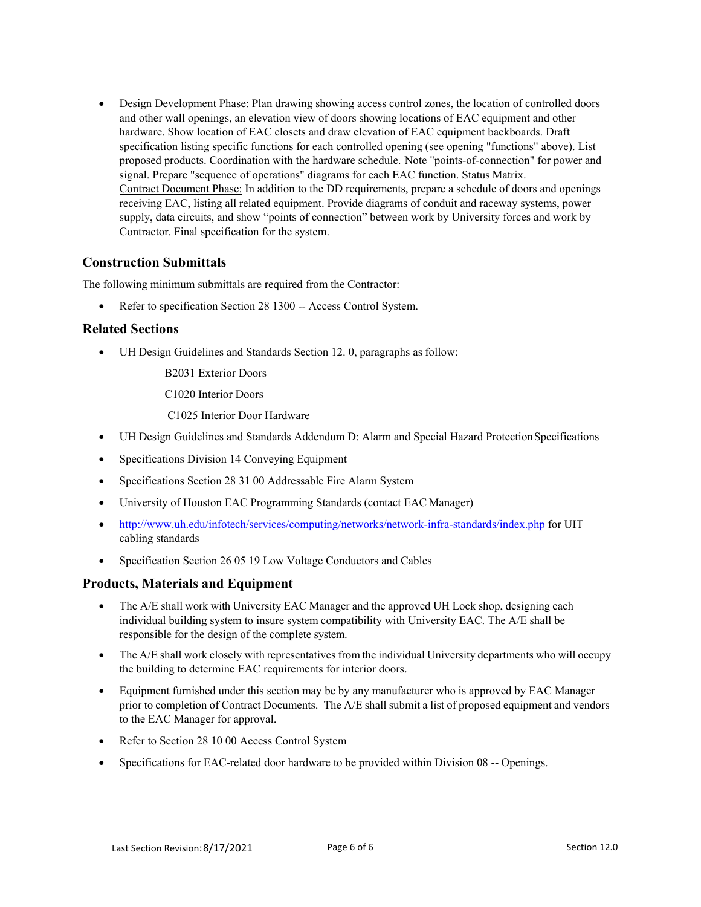Design Development Phase: Plan drawing showing access control zones, the location of controlled doors and other wall openings, an elevation view of doors showing locations of EAC equipment and other hardware. Show location of EAC closets and draw elevation of EAC equipment backboards. Draft specification listing specific functions for each controlled opening (see opening "functions" above). List proposed products. Coordination with the hardware schedule. Note "points-of-connection" for power and signal. Prepare "sequence of operations" diagrams for each EAC function. Status Matrix. Contract Document Phase: In addition to the DD requirements, prepare a schedule of doors and openings receiving EAC, listing all related equipment. Provide diagrams of conduit and raceway systems, power supply, data circuits, and show "points of connection" between work by University forces and work by Contractor. Final specification for the system.

## **Construction Submittals**

The following minimum submittals are required from the Contractor:

Refer to specification Section 28 1300 -- Access Control System.

## **Related Sections**

UH Design Guidelines and Standards Section 12. 0, paragraphs as follow:

B2031 Exterior Doors

C1020 Interior Doors

C1025 Interior Door Hardware

- UH Design Guidelines and Standards Addendum D: Alarm and Special Hazard Protection Specifications
- Specifications Division 14 Conveying Equipment
- Specifications Section 28 31 00 Addressable Fire Alarm System
- University of Houston EAC Programming Standards (contact EAC Manager)
- http://www.uh.edu/infotech/services/computing/networks/network-infra-standards/index.php for UIT cabling standards
- Specification Section 26 05 19 Low Voltage Conductors and Cables

## **Products, Materials and Equipment**

- The A/E shall work with University EAC Manager and the approved UH Lock shop, designing each individual building system to insure system compatibility with University EAC. The A/E shall be responsible for the design of the complete system.
- The A/E shall work closely with representatives from the individual University departments who will occupy the building to determine EAC requirements for interior doors.
- Equipment furnished under this section may be by any manufacturer who is approved by EAC Manager prior to completion of Contract Documents. The A/E shall submit a list of proposed equipment and vendors to the EAC Manager for approval.
- Refer to Section 28 10 00 Access Control System
- Specifications for EAC-related door hardware to be provided within Division 08 -- Openings.